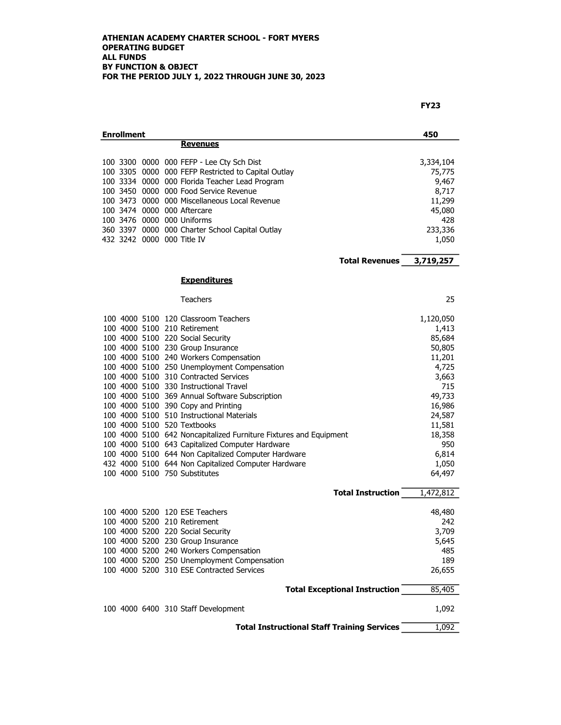| <b>Enrollment</b> |  |  |                                                                              |                  |  |
|-------------------|--|--|------------------------------------------------------------------------------|------------------|--|
|                   |  |  | <b>Revenues</b>                                                              |                  |  |
|                   |  |  |                                                                              |                  |  |
|                   |  |  | 100 3300 0000 000 FEFP - Lee Cty Sch Dist                                    | 3,334,104        |  |
|                   |  |  | 100 3305 0000 000 FEFP Restricted to Capital Outlay                          | 75,775           |  |
|                   |  |  | 100 3334 0000 000 Florida Teacher Lead Program                               | 9,467            |  |
|                   |  |  | 100 3450 0000 000 Food Service Revenue                                       | 8,717            |  |
|                   |  |  | 100 3473 0000 000 Miscellaneous Local Revenue<br>100 3474 0000 000 Aftercare | 11,299           |  |
|                   |  |  | 100 3476 0000 000 Uniforms                                                   | 45,080<br>428    |  |
|                   |  |  | 360 3397 0000 000 Charter School Capital Outlay                              | 233,336          |  |
|                   |  |  | 432 3242 0000 000 Title IV                                                   | 1,050            |  |
|                   |  |  |                                                                              |                  |  |
|                   |  |  | <b>Total Revenues</b>                                                        | 3,719,257        |  |
|                   |  |  | <b>Expenditures</b>                                                          |                  |  |
|                   |  |  | Teachers                                                                     | 25               |  |
|                   |  |  | 100 4000 5100 120 Classroom Teachers                                         | 1,120,050        |  |
|                   |  |  | 100 4000 5100 210 Retirement                                                 | 1,413            |  |
|                   |  |  | 100 4000 5100 220 Social Security                                            | 85,684           |  |
|                   |  |  | 100 4000 5100 230 Group Insurance                                            | 50,805           |  |
|                   |  |  | 100 4000 5100 240 Workers Compensation                                       | 11,201           |  |
|                   |  |  | 100 4000 5100 250 Unemployment Compensation                                  | 4,725            |  |
|                   |  |  | 100 4000 5100 310 Contracted Services                                        | 3,663            |  |
|                   |  |  | 100 4000 5100 330 Instructional Travel                                       | 715              |  |
|                   |  |  | 100 4000 5100 369 Annual Software Subscription                               | 49,733           |  |
|                   |  |  | 100 4000 5100 390 Copy and Printing                                          | 16,986           |  |
|                   |  |  | 100 4000 5100 510 Instructional Materials<br>100 4000 5100 520 Textbooks     | 24,587           |  |
|                   |  |  | 100 4000 5100 642 Noncapitalized Furniture Fixtures and Equipment            | 11,581<br>18,358 |  |
|                   |  |  | 100 4000 5100 643 Capitalized Computer Hardware                              | 950              |  |
|                   |  |  | 100 4000 5100 644 Non Capitalized Computer Hardware                          | 6,814            |  |
|                   |  |  | 432 4000 5100 644 Non Capitalized Computer Hardware                          | 1,050            |  |
|                   |  |  | 100 4000 5100 750 Substitutes                                                | 64,497           |  |
|                   |  |  | <b>Total Instruction</b>                                                     | 1,472,812        |  |
|                   |  |  |                                                                              |                  |  |
|                   |  |  | 100 4000 5200 120 ESE Teachers                                               | 48,480           |  |
|                   |  |  | 100 4000 5200 210 Retirement                                                 | 242              |  |
|                   |  |  | 100 4000 5200 220 Social Security                                            | 3,709            |  |
|                   |  |  | 100 4000 5200 230 Group Insurance                                            | 5,645            |  |
|                   |  |  | 100 4000 5200 240 Workers Compensation                                       | 485              |  |
|                   |  |  | 100 4000 5200 250 Unemployment Compensation                                  | 189              |  |
|                   |  |  | 100 4000 5200 310 ESE Contracted Services                                    | 26,655           |  |
|                   |  |  | <b>Total Exceptional Instruction</b>                                         | 85,405           |  |
|                   |  |  | 100 4000 6400 310 Staff Development                                          | 1,092            |  |
|                   |  |  | <b>Total Instructional Staff Training Services</b>                           | 1,092            |  |
|                   |  |  |                                                                              |                  |  |

FY23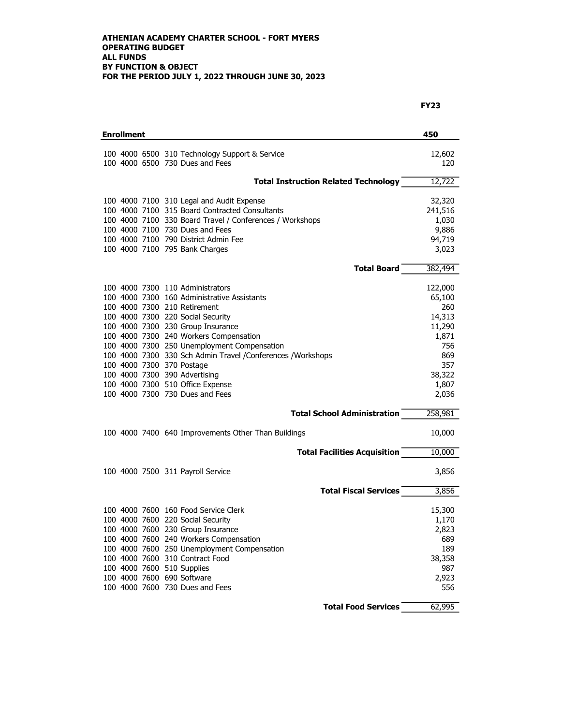| <b>Enrollment</b> |  |  |                                                                                                             |                   |  |  |
|-------------------|--|--|-------------------------------------------------------------------------------------------------------------|-------------------|--|--|
|                   |  |  | 100 4000 6500 310 Technology Support & Service<br>100 4000 6500 730 Dues and Fees                           | 12,602<br>120     |  |  |
|                   |  |  | <b>Total Instruction Related Technology</b>                                                                 | 12,722            |  |  |
|                   |  |  | 100 4000 7100 310 Legal and Audit Expense<br>100 4000 7100 315 Board Contracted Consultants                 | 32,320<br>241,516 |  |  |
|                   |  |  | 100 4000 7100 330 Board Travel / Conferences / Workshops<br>100 4000 7100 730 Dues and Fees                 | 1,030<br>9,886    |  |  |
|                   |  |  | 100 4000 7100 790 District Admin Fee<br>100 4000 7100 795 Bank Charges                                      | 94,719<br>3,023   |  |  |
|                   |  |  | <b>Total Board</b>                                                                                          | 382,494           |  |  |
|                   |  |  | 100 4000 7300 110 Administrators                                                                            | 122,000           |  |  |
|                   |  |  | 100 4000 7300 160 Administrative Assistants<br>100 4000 7300 210 Retirement                                 | 65,100<br>260     |  |  |
|                   |  |  | 100 4000 7300 220 Social Security                                                                           | 14,313            |  |  |
|                   |  |  | 100 4000 7300 230 Group Insurance<br>100 4000 7300 240 Workers Compensation                                 | 11,290<br>1,871   |  |  |
|                   |  |  | 100 4000 7300 250 Unemployment Compensation<br>100 4000 7300 330 Sch Admin Travel / Conferences / Workshops | 756<br>869        |  |  |
|                   |  |  | 100 4000 7300 370 Postage                                                                                   | 357               |  |  |
|                   |  |  | 100 4000 7300 390 Advertising<br>100 4000 7300 510 Office Expense                                           | 38,322<br>1,807   |  |  |
|                   |  |  | 100 4000 7300 730 Dues and Fees                                                                             | 2,036             |  |  |
|                   |  |  | <b>Total School Administration</b>                                                                          | 258,981           |  |  |
|                   |  |  | 100 4000 7400 640 Improvements Other Than Buildings                                                         | 10,000            |  |  |
|                   |  |  | <b>Total Facilities Acquisition</b>                                                                         | 10,000            |  |  |
|                   |  |  | 100 4000 7500 311 Payroll Service                                                                           | 3,856             |  |  |
|                   |  |  | <b>Total Fiscal Services</b>                                                                                | 3,856             |  |  |
|                   |  |  | 100 4000 7600 160 Food Service Clerk                                                                        | 15,300            |  |  |
|                   |  |  | 100 4000 7600 220 Social Security                                                                           | 1,170             |  |  |
|                   |  |  | 100 4000 7600 230 Group Insurance<br>100 4000 7600 240 Workers Compensation                                 | 2,823<br>689      |  |  |
|                   |  |  | 100 4000 7600 250 Unemployment Compensation                                                                 | 189               |  |  |
|                   |  |  | 100 4000 7600 310 Contract Food                                                                             | 38,358            |  |  |
|                   |  |  | 100 4000 7600 510 Supplies<br>100 4000 7600 690 Software                                                    | 987<br>2,923      |  |  |
|                   |  |  | 100 4000 7600 730 Dues and Fees                                                                             | 556               |  |  |
|                   |  |  | <b>Total Food Services</b>                                                                                  | 62,995            |  |  |

## FY23